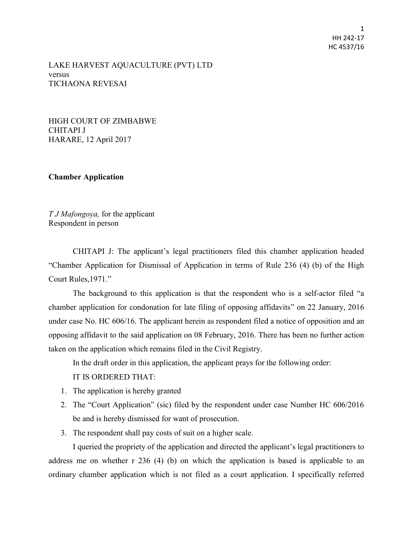1 HH 242-17 HC 4537/16

LAKE HARVEST AQUACULTURE (PVT) LTD versus TICHAONA REVESAI

HIGH COURT OF ZIMBABWE CHITAPI J HARARE, 12 April 2017

**Chamber Application** 

*T J Mafongoya,* for the applicant Respondent in person

CHITAPI J: The applicant's legal practitioners filed this chamber application headed "Chamber Application for Dismissal of Application in terms of Rule 236 (4) (b) of the High Court Rules,1971."

The background to this application is that the respondent who is a self-actor filed "a chamber application for condonation for late filing of opposing affidavits" on 22 January, 2016 under case No. HC 606/16. The applicant herein as respondent filed a notice of opposition and an opposing affidavit to the said application on 08 February, 2016. There has been no further action taken on the application which remains filed in the Civil Registry.

In the draft order in this application, the applicant prays for the following order:

- IT IS ORDERED THAT:
- 1. The application is hereby granted
- 2. The "Court Application" (sic) filed by the respondent under case Number HC 606/2016 be and is hereby dismissed for want of prosecution.
- 3. The respondent shall pay costs of suit on a higher scale.

I queried the propriety of the application and directed the applicant's legal practitioners to address me on whether r 236 (4) (b) on which the application is based is applicable to an ordinary chamber application which is not filed as a court application. I specifically referred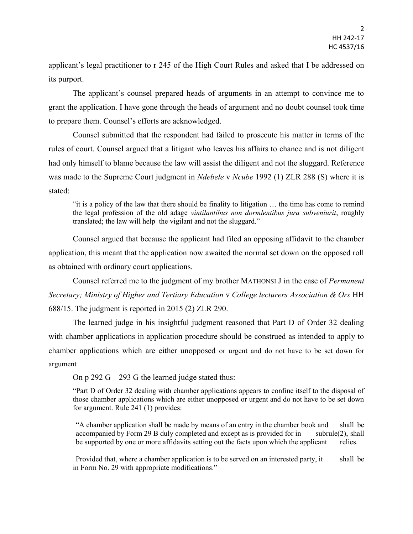applicant's legal practitioner to r 245 of the High Court Rules and asked that I be addressed on its purport.

The applicant's counsel prepared heads of arguments in an attempt to convince me to grant the application. I have gone through the heads of argument and no doubt counsel took time to prepare them. Counsel's efforts are acknowledged.

Counsel submitted that the respondent had failed to prosecute his matter in terms of the rules of court. Counsel argued that a litigant who leaves his affairs to chance and is not diligent had only himself to blame because the law will assist the diligent and not the sluggard. Reference was made to the Supreme Court judgment in *Ndebele* v *Ncube* 1992 (1) ZLR 288 (S) where it is stated:

"it is a policy of the law that there should be finality to litigation … the time has come to remind the legal profession of the old adage *vintilantibus non dormlentibus jura subveniurit*, roughly translated; the law will help the vigilant and not the sluggard."

Counsel argued that because the applicant had filed an opposing affidavit to the chamber application, this meant that the application now awaited the normal set down on the opposed roll as obtained with ordinary court applications.

Counsel referred me to the judgment of my brother MATHONSI J in the case of *Permanent Secretary; Ministry of Higher and Tertiary Education* v *College lecturers Association & Ors* HH 688/15. The judgment is reported in 2015 (2) ZLR 290.

The learned judge in his insightful judgment reasoned that Part D of Order 32 dealing with chamber applications in application procedure should be construed as intended to apply to chamber applications which are either unopposed or urgent and do not have to be set down for argument

On p 292 G – 293 G the learned judge stated thus:

"Part D of Order 32 dealing with chamber applications appears to confine itself to the disposal of those chamber applications which are either unopposed or urgent and do not have to be set down for argument. Rule 241 (1) provides:

"A chamber application shall be made by means of an entry in the chamber book and shall be accompanied by Form 29 B duly completed and except as is provided for in subrule(2), shall be supported by one or more affidavits setting out the facts upon which the applicant relies.

Provided that, where a chamber application is to be served on an interested party, it shall be in Form No. 29 with appropriate modifications."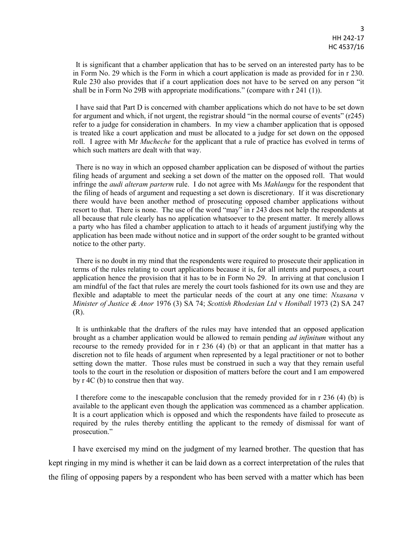It is significant that a chamber application that has to be served on an interested party has to be in Form No. 29 which is the Form in which a court application is made as provided for in r 230. Rule 230 also provides that if a court application does not have to be served on any person "it shall be in Form No 29B with appropriate modifications." (compare with r 241 (1)).

I have said that Part D is concerned with chamber applications which do not have to be set down for argument and which, if not urgent, the registrar should "in the normal course of events" (r245) refer to a judge for consideration in chambers. In my view a chamber application that is opposed is treated like a court application and must be allocated to a judge for set down on the opposed roll. I agree with Mr *Mucheche* for the applicant that a rule of practice has evolved in terms of which such matters are dealt with that way.

There is no way in which an opposed chamber application can be disposed of without the parties filing heads of argument and seeking a set down of the matter on the opposed roll. That would infringe the *audi alteram parterm* rule. I do not agree with Ms *Mahlangu* for the respondent that the filing of heads of argument and requesting a set down is discretionary. If it was discretionary there would have been another method of prosecuting opposed chamber applications without resort to that. There is none. The use of the word "may" in r 243 does not help the respondents at all because that rule clearly has no application whatsoever to the present matter. It merely allows a party who has filed a chamber application to attach to it heads of argument justifying why the application has been made without notice and in support of the order sought to be granted without notice to the other party.

There is no doubt in my mind that the respondents were required to prosecute their application in terms of the rules relating to court applications because it is, for all intents and purposes, a court application hence the provision that it has to be in Form No 29. In arriving at that conclusion I am mindful of the fact that rules are merely the court tools fashioned for its own use and they are flexible and adaptable to meet the particular needs of the court at any one time: *Nxasana* v *Minister of Justice & Anor* 1976 (3) SA 74; *Scottish Rhodesian Ltd* v *Honiball* 1973 (2) SA 247 (R).

It is unthinkable that the drafters of the rules may have intended that an opposed application brought as a chamber application would be allowed to remain pending *ad infinitum* without any recourse to the remedy provided for in r 236 (4) (b) or that an applicant in that matter has a discretion not to file heads of argument when represented by a legal practitioner or not to bother setting down the matter. Those rules must be construed in such a way that they remain useful tools to the court in the resolution or disposition of matters before the court and I am empowered by r 4C (b) to construe then that way.

I therefore come to the inescapable conclusion that the remedy provided for in r 236 (4) (b) is available to the applicant even though the application was commenced as a chamber application. It is a court application which is opposed and which the respondents have failed to prosecute as required by the rules thereby entitling the applicant to the remedy of dismissal for want of prosecution."

I have exercised my mind on the judgment of my learned brother. The question that has kept ringing in my mind is whether it can be laid down as a correct interpretation of the rules that the filing of opposing papers by a respondent who has been served with a matter which has been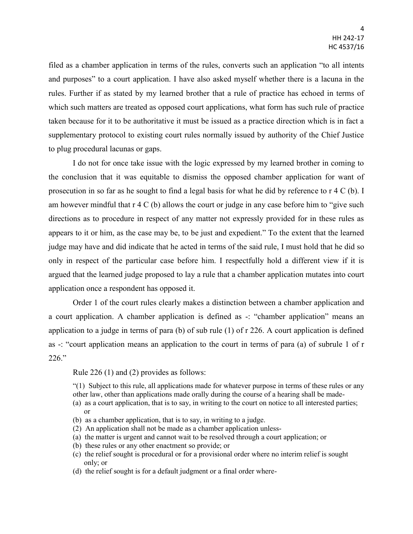filed as a chamber application in terms of the rules, converts such an application "to all intents and purposes" to a court application. I have also asked myself whether there is a lacuna in the rules. Further if as stated by my learned brother that a rule of practice has echoed in terms of which such matters are treated as opposed court applications, what form has such rule of practice taken because for it to be authoritative it must be issued as a practice direction which is in fact a supplementary protocol to existing court rules normally issued by authority of the Chief Justice to plug procedural lacunas or gaps.

I do not for once take issue with the logic expressed by my learned brother in coming to the conclusion that it was equitable to dismiss the opposed chamber application for want of prosecution in so far as he sought to find a legal basis for what he did by reference to r 4 C (b). I am however mindful that  $r \notin C$  (b) allows the court or judge in any case before him to "give such directions as to procedure in respect of any matter not expressly provided for in these rules as appears to it or him, as the case may be, to be just and expedient." To the extent that the learned judge may have and did indicate that he acted in terms of the said rule, I must hold that he did so only in respect of the particular case before him. I respectfully hold a different view if it is argued that the learned judge proposed to lay a rule that a chamber application mutates into court application once a respondent has opposed it.

Order 1 of the court rules clearly makes a distinction between a chamber application and a court application. A chamber application is defined as -: "chamber application" means an application to a judge in terms of para (b) of sub rule (1) of r 226. A court application is defined as -: "court application means an application to the court in terms of para (a) of subrule 1 of r 226."

Rule 226 (1) and (2) provides as follows:

"(1) Subject to this rule, all applications made for whatever purpose in terms of these rules or any other law, other than applications made orally during the course of a hearing shall be made-

- (a) as a court application, that is to say, in writing to the court on notice to all interested parties; or
- (b) as a chamber application, that is to say, in writing to a judge.
- (2) An application shall not be made as a chamber application unless-
- (a) the matter is urgent and cannot wait to be resolved through a court application; or
- (b) these rules or any other enactment so provide; or
- (c) the relief sought is procedural or for a provisional order where no interim relief is sought only; or
- (d) the relief sought is for a default judgment or a final order where-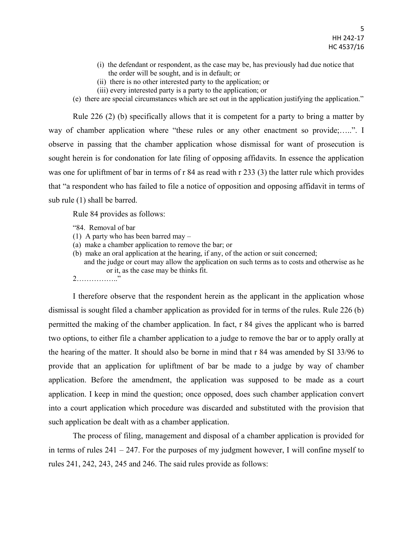- (i) the defendant or respondent, as the case may be, has previously had due notice that the order will be sought, and is in default; or
- (ii) there is no other interested party to the application; or
- (iii) every interested party is a party to the application; or
- (e) there are special circumstances which are set out in the application justifying the application."

Rule 226 (2) (b) specifically allows that it is competent for a party to bring a matter by way of chamber application where "these rules or any other enactment so provide;…..". I observe in passing that the chamber application whose dismissal for want of prosecution is sought herein is for condonation for late filing of opposing affidavits. In essence the application was one for upliftment of bar in terms of r 84 as read with r 233 (3) the latter rule which provides that "a respondent who has failed to file a notice of opposition and opposing affidavit in terms of sub rule (1) shall be barred.

Rule 84 provides as follows:

- "84. Removal of bar
- (1) A party who has been barred may –
- (a) make a chamber application to remove the bar; or
- (b) make an oral application at the hearing, if any, of the action or suit concerned;
	- and the judge or court may allow the application on such terms as to costs and otherwise as he or it, as the case may be thinks fit.
- 2…………….."

I therefore observe that the respondent herein as the applicant in the application whose dismissal is sought filed a chamber application as provided for in terms of the rules. Rule 226 (b) permitted the making of the chamber application. In fact, r 84 gives the applicant who is barred two options, to either file a chamber application to a judge to remove the bar or to apply orally at the hearing of the matter. It should also be borne in mind that r 84 was amended by SI 33/96 to provide that an application for upliftment of bar be made to a judge by way of chamber application. Before the amendment, the application was supposed to be made as a court application. I keep in mind the question; once opposed, does such chamber application convert into a court application which procedure was discarded and substituted with the provision that such application be dealt with as a chamber application.

The process of filing, management and disposal of a chamber application is provided for in terms of rules  $241 - 247$ . For the purposes of my judgment however, I will confine myself to rules 241, 242, 243, 245 and 246. The said rules provide as follows: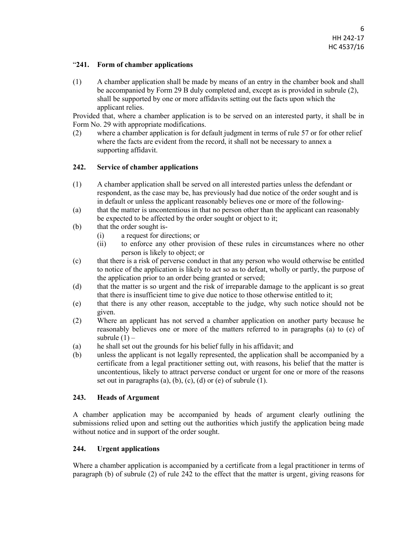## "**241. Form of chamber applications**

(1) A chamber application shall be made by means of an entry in the chamber book and shall be accompanied by Form 29 B duly completed and, except as is provided in subrule (2), shall be supported by one or more affidavits setting out the facts upon which the applicant relies.

Provided that, where a chamber application is to be served on an interested party, it shall be in Form No. 29 with appropriate modifications.

(2) where a chamber application is for default judgment in terms of rule 57 or for other relief where the facts are evident from the record, it shall not be necessary to annex a supporting affidavit.

## **242. Service of chamber applications**

- (1) A chamber application shall be served on all interested parties unless the defendant or respondent, as the case may be, has previously had due notice of the order sought and is in default or unless the applicant reasonably believes one or more of the following-
- (a) that the matter is uncontentious in that no person other than the applicant can reasonably be expected to be affected by the order sought or object to it;
- (b) that the order sought is-
	- (i) a request for directions; or
	- (ii) to enforce any other provision of these rules in circumstances where no other person is likely to object; or
- (c) that there is a risk of perverse conduct in that any person who would otherwise be entitled to notice of the application is likely to act so as to defeat, wholly or partly, the purpose of the application prior to an order being granted or served;
- (d) that the matter is so urgent and the risk of irreparable damage to the applicant is so great that there is insufficient time to give due notice to those otherwise entitled to it;
- (e) that there is any other reason, acceptable to the judge, why such notice should not be given.
- (2) Where an applicant has not served a chamber application on another party because he reasonably believes one or more of the matters referred to in paragraphs (a) to (e) of subrule  $(1)$  –
- (a) he shall set out the grounds for his belief fully in his affidavit; and
- (b) unless the applicant is not legally represented, the application shall be accompanied by a certificate from a legal practitioner setting out, with reasons, his belief that the matter is uncontentious, likely to attract perverse conduct or urgent for one or more of the reasons set out in paragraphs (a), (b), (c), (d) or (e) of subrule  $(1)$ .

## **243. Heads of Argument**

A chamber application may be accompanied by heads of argument clearly outlining the submissions relied upon and setting out the authorities which justify the application being made without notice and in support of the order sought.

# **244. Urgent applications**

Where a chamber application is accompanied by a certificate from a legal practitioner in terms of paragraph (b) of subrule (2) of rule 242 to the effect that the matter is urgent, giving reasons for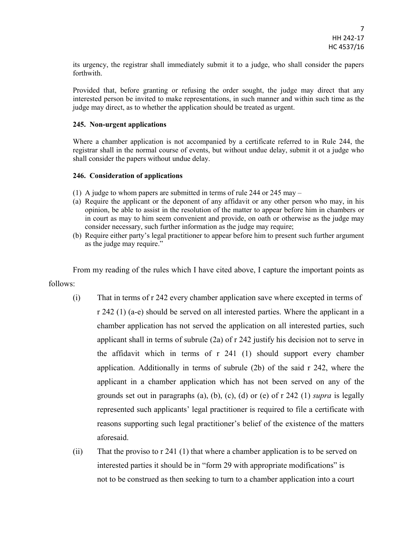its urgency, the registrar shall immediately submit it to a judge, who shall consider the papers forthwith.

Provided that, before granting or refusing the order sought, the judge may direct that any interested person be invited to make representations, in such manner and within such time as the judge may direct, as to whether the application should be treated as urgent.

### **245. Non-urgent applications**

Where a chamber application is not accompanied by a certificate referred to in Rule 244, the registrar shall in the normal course of events, but without undue delay, submit it ot a judge who shall consider the papers without undue delay.

#### **246. Consideration of applications**

- (1) A judge to whom papers are submitted in terms of rule 244 or 245 may –
- (a) Require the applicant or the deponent of any affidavit or any other person who may, in his opinion, be able to assist in the resolution of the matter to appear before him in chambers or in court as may to him seem convenient and provide, on oath or otherwise as the judge may consider necessary, such further information as the judge may require;
- (b) Require either party's legal practitioner to appear before him to present such further argument as the judge may require."

From my reading of the rules which I have cited above, I capture the important points as follows:

- (i) That in terms of r 242 every chamber application save where excepted in terms of r 242 (1) (a-e) should be served on all interested parties. Where the applicant in a chamber application has not served the application on all interested parties, such applicant shall in terms of subrule (2a) of r 242 justify his decision not to serve in the affidavit which in terms of r 241 (1) should support every chamber application. Additionally in terms of subrule (2b) of the said r 242, where the applicant in a chamber application which has not been served on any of the grounds set out in paragraphs (a), (b), (c), (d) or (e) of r 242 (1) *supra* is legally represented such applicants' legal practitioner is required to file a certificate with reasons supporting such legal practitioner's belief of the existence of the matters aforesaid.
- (ii) That the proviso to r 241 (1) that where a chamber application is to be served on interested parties it should be in "form 29 with appropriate modifications" is not to be construed as then seeking to turn to a chamber application into a court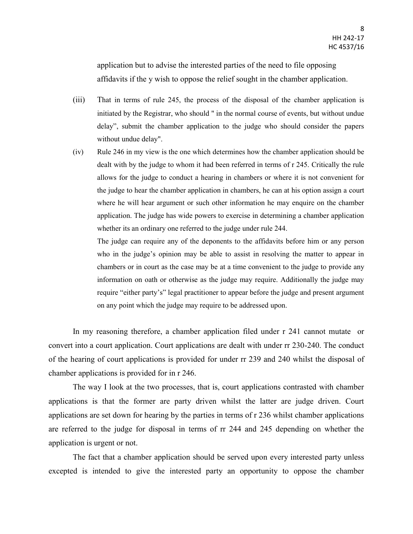application but to advise the interested parties of the need to file opposing affidavits if the y wish to oppose the relief sought in the chamber application.

- (iii) That in terms of rule 245, the process of the disposal of the chamber application is initiated by the Registrar, who should " in the normal course of events, but without undue delay", submit the chamber application to the judge who should consider the papers without undue delay".
- (iv) Rule 246 in my view is the one which determines how the chamber application should be dealt with by the judge to whom it had been referred in terms of r 245. Critically the rule allows for the judge to conduct a hearing in chambers or where it is not convenient for the judge to hear the chamber application in chambers, he can at his option assign a court where he will hear argument or such other information he may enquire on the chamber application. The judge has wide powers to exercise in determining a chamber application whether its an ordinary one referred to the judge under rule 244.

The judge can require any of the deponents to the affidavits before him or any person who in the judge's opinion may be able to assist in resolving the matter to appear in chambers or in court as the case may be at a time convenient to the judge to provide any information on oath or otherwise as the judge may require. Additionally the judge may require "either party's" legal practitioner to appear before the judge and present argument on any point which the judge may require to be addressed upon.

In my reasoning therefore, a chamber application filed under r 241 cannot mutate or convert into a court application. Court applications are dealt with under rr 230-240. The conduct of the hearing of court applications is provided for under rr 239 and 240 whilst the disposal of chamber applications is provided for in r 246.

The way I look at the two processes, that is, court applications contrasted with chamber applications is that the former are party driven whilst the latter are judge driven. Court applications are set down for hearing by the parties in terms of r 236 whilst chamber applications are referred to the judge for disposal in terms of rr 244 and 245 depending on whether the application is urgent or not.

The fact that a chamber application should be served upon every interested party unless excepted is intended to give the interested party an opportunity to oppose the chamber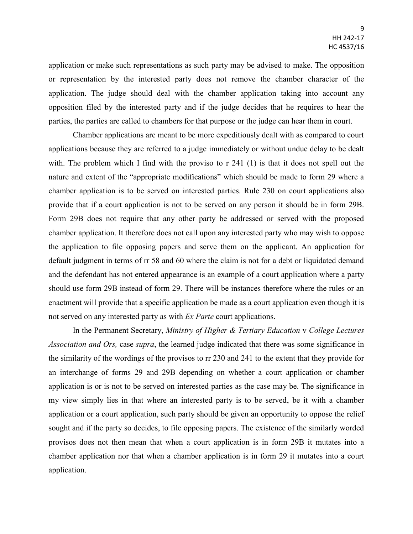application or make such representations as such party may be advised to make. The opposition or representation by the interested party does not remove the chamber character of the application. The judge should deal with the chamber application taking into account any opposition filed by the interested party and if the judge decides that he requires to hear the parties, the parties are called to chambers for that purpose or the judge can hear them in court.

Chamber applications are meant to be more expeditiously dealt with as compared to court applications because they are referred to a judge immediately or without undue delay to be dealt with. The problem which I find with the proviso to r 241 (1) is that it does not spell out the nature and extent of the "appropriate modifications" which should be made to form 29 where a chamber application is to be served on interested parties. Rule 230 on court applications also provide that if a court application is not to be served on any person it should be in form 29B. Form 29B does not require that any other party be addressed or served with the proposed chamber application. It therefore does not call upon any interested party who may wish to oppose the application to file opposing papers and serve them on the applicant. An application for default judgment in terms of rr 58 and 60 where the claim is not for a debt or liquidated demand and the defendant has not entered appearance is an example of a court application where a party should use form 29B instead of form 29. There will be instances therefore where the rules or an enactment will provide that a specific application be made as a court application even though it is not served on any interested party as with *Ex Parte* court applications.

In the Permanent Secretary, *Ministry of Higher & Tertiary Education* v *College Lectures Association and Ors,* case *supra*, the learned judge indicated that there was some significance in the similarity of the wordings of the provisos to rr 230 and 241 to the extent that they provide for an interchange of forms 29 and 29B depending on whether a court application or chamber application is or is not to be served on interested parties as the case may be. The significance in my view simply lies in that where an interested party is to be served, be it with a chamber application or a court application, such party should be given an opportunity to oppose the relief sought and if the party so decides, to file opposing papers. The existence of the similarly worded provisos does not then mean that when a court application is in form 29B it mutates into a chamber application nor that when a chamber application is in form 29 it mutates into a court application.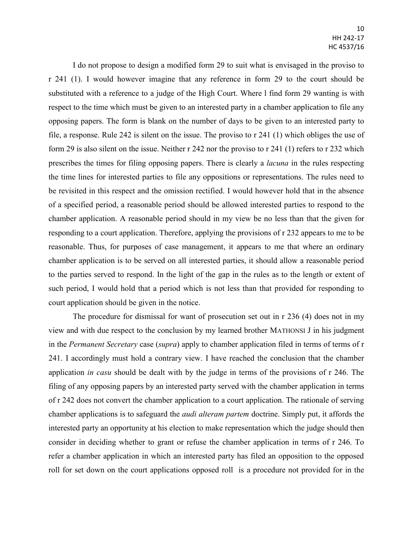I do not propose to design a modified form 29 to suit what is envisaged in the proviso to r 241 (1). I would however imagine that any reference in form 29 to the court should be substituted with a reference to a judge of the High Court. Where l find form 29 wanting is with respect to the time which must be given to an interested party in a chamber application to file any opposing papers. The form is blank on the number of days to be given to an interested party to file, a response. Rule 242 is silent on the issue. The proviso to r 241 (1) which obliges the use of form 29 is also silent on the issue. Neither r 242 nor the proviso to r 241 (1) refers to r 232 which prescribes the times for filing opposing papers. There is clearly a *lacuna* in the rules respecting the time lines for interested parties to file any oppositions or representations. The rules need to be revisited in this respect and the omission rectified. I would however hold that in the absence of a specified period, a reasonable period should be allowed interested parties to respond to the chamber application. A reasonable period should in my view be no less than that the given for responding to a court application. Therefore, applying the provisions of r 232 appears to me to be reasonable. Thus, for purposes of case management, it appears to me that where an ordinary chamber application is to be served on all interested parties, it should allow a reasonable period to the parties served to respond. In the light of the gap in the rules as to the length or extent of such period, I would hold that a period which is not less than that provided for responding to court application should be given in the notice.

The procedure for dismissal for want of prosecution set out in r 236 (4) does not in my view and with due respect to the conclusion by my learned brother MATHONSI J in his judgment in the *Permanent Secretary* case (*supra*) apply to chamber application filed in terms of terms of r 241. I accordingly must hold a contrary view. I have reached the conclusion that the chamber application *in casu* should be dealt with by the judge in terms of the provisions of r 246. The filing of any opposing papers by an interested party served with the chamber application in terms of r 242 does not convert the chamber application to a court application. The rationale of serving chamber applications is to safeguard the *audi alteram partem* doctrine. Simply put, it affords the interested party an opportunity at his election to make representation which the judge should then consider in deciding whether to grant or refuse the chamber application in terms of r 246. To refer a chamber application in which an interested party has filed an opposition to the opposed roll for set down on the court applications opposed roll is a procedure not provided for in the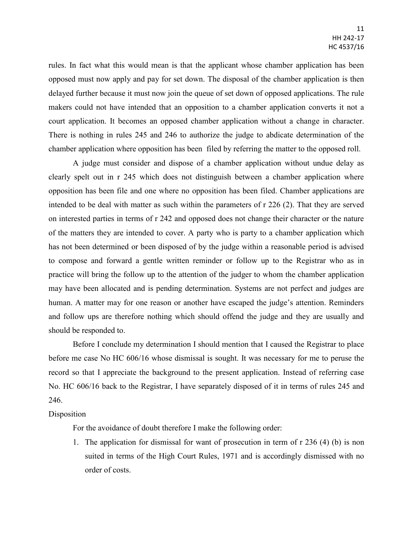rules. In fact what this would mean is that the applicant whose chamber application has been opposed must now apply and pay for set down. The disposal of the chamber application is then delayed further because it must now join the queue of set down of opposed applications. The rule makers could not have intended that an opposition to a chamber application converts it not a court application. It becomes an opposed chamber application without a change in character. There is nothing in rules 245 and 246 to authorize the judge to abdicate determination of the chamber application where opposition has been filed by referring the matter to the opposed roll.

A judge must consider and dispose of a chamber application without undue delay as clearly spelt out in r 245 which does not distinguish between a chamber application where opposition has been file and one where no opposition has been filed. Chamber applications are intended to be deal with matter as such within the parameters of r 226 (2). That they are served on interested parties in terms of r 242 and opposed does not change their character or the nature of the matters they are intended to cover. A party who is party to a chamber application which has not been determined or been disposed of by the judge within a reasonable period is advised to compose and forward a gentle written reminder or follow up to the Registrar who as in practice will bring the follow up to the attention of the judger to whom the chamber application may have been allocated and is pending determination. Systems are not perfect and judges are human. A matter may for one reason or another have escaped the judge's attention. Reminders and follow ups are therefore nothing which should offend the judge and they are usually and should be responded to.

Before I conclude my determination I should mention that I caused the Registrar to place before me case No HC 606/16 whose dismissal is sought. It was necessary for me to peruse the record so that I appreciate the background to the present application. Instead of referring case No. HC 606/16 back to the Registrar, I have separately disposed of it in terms of rules 245 and 246.

## Disposition

For the avoidance of doubt therefore I make the following order:

1. The application for dismissal for want of prosecution in term of r 236 (4) (b) is non suited in terms of the High Court Rules, 1971 and is accordingly dismissed with no order of costs.